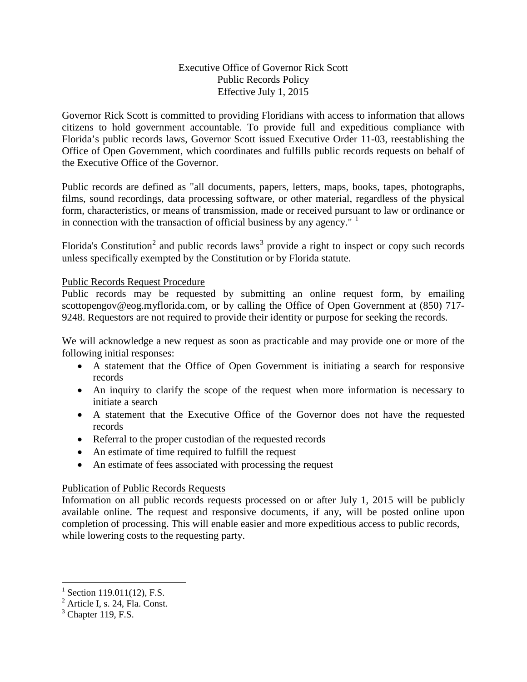## Executive Office of Governor Rick Scott Public Records Policy Effective July 1, 2015

Governor Rick Scott is committed to providing Floridians with access to information that allows citizens to hold government accountable. To provide full and expeditious compliance with Florida's public records laws, Governor Scott issued Executive Order 11-03, reestablishing the Office of Open Government, which coordinates and fulfills public records requests on behalf of the Executive Office of the Governor.

Public records are defined as "all documents, papers, letters, maps, books, tapes, photographs, films, sound recordings, data processing software, or other material, regardless of the physical form, characteristics, or means of transmission, made or received pursuant to law or ordinance or in connection with the transaction of official business by any agency."  $\frac{1}{1}$  $\frac{1}{1}$  $\frac{1}{1}$ 

Florida's Constitution<sup>[2](#page-0-1)</sup> and public records laws<sup>[3](#page-0-2)</sup> provide a right to inspect or copy such records unless specifically exempted by the Constitution or by Florida statute.

### Public Records Request Procedure

Public records may be requested by submitting an online request form, by emailing scottopengov@eog.myflorida.com, or by calling the Office of Open Government at (850) 717-9248. Requestors are not required to provide their identity or purpose for seeking the records.

We will acknowledge a new request as soon as practicable and may provide one or more of the following initial responses:

- A statement that the Office of Open Government is initiating a search for responsive records
- An inquiry to clarify the scope of the request when more information is necessary to initiate a search
- A statement that the Executive Office of the Governor does not have the requested records
- Referral to the proper custodian of the requested records
- An estimate of time required to fulfill the request
- An estimate of fees associated with processing the request

# Publication of Public Records Requests

Information on all public records requests processed on or after July 1, 2015 will be publicly available online. The request and responsive documents, if any, will be posted online upon completion of processing. This will enable easier and more expeditious access to public records, while lowering costs to the requesting party.

 $\overline{\phantom{a}}$ 

 $^{1}$  Section 119.011(12), F.S.

<span id="page-0-1"></span><span id="page-0-0"></span><sup>2</sup> Article I, s. 24, Fla. Const.

<span id="page-0-2"></span> $3$  Chapter 119, F.S.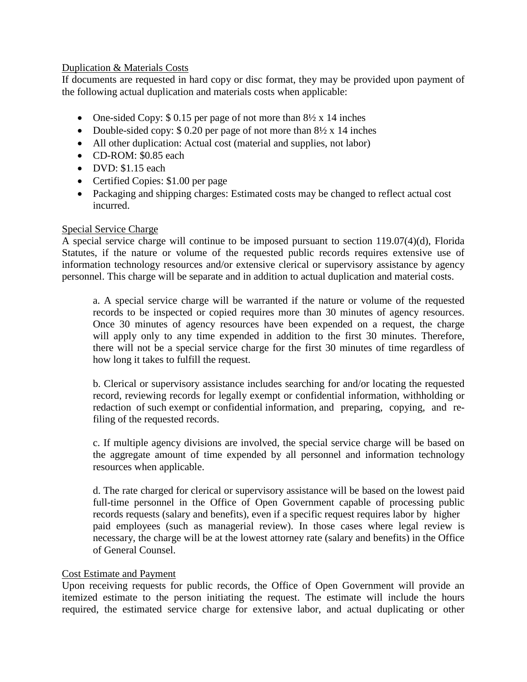### Duplication & Materials Costs

If documents are requested in hard copy or disc format, they may be provided upon payment of the following actual duplication and materials costs when applicable:

- One-sided Copy: \$ 0.15 per page of not more than  $8\frac{1}{2}$  x 14 inches
- Double-sided copy:  $$ 0.20$  per page of not more than  $8\frac{1}{2} \times 14$  inches
- All other duplication: Actual cost (material and supplies, not labor)
- CD-ROM: \$0.85 each
- DVD: \$1.15 each
- Certified Copies: \$1.00 per page
- Packaging and shipping charges: Estimated costs may be changed to reflect actual cost incurred.

### Special Service Charge

A special service charge will continue to be imposed pursuant to section 119.07(4)(d), Florida Statutes, if the nature or volume of the requested public records requires extensive use of information technology resources and/or extensive clerical or supervisory assistance by agency personnel. This charge will be separate and in addition to actual duplication and material costs.

a. A special service charge will be warranted if the nature or volume of the requested records to be inspected or copied requires more than 30 minutes of agency resources. Once 30 minutes of agency resources have been expended on a request, the charge will apply only to any time expended in addition to the first 30 minutes. Therefore, there will not be a special service charge for the first 30 minutes of time regardless of how long it takes to fulfill the request.

b. Clerical or supervisory assistance includes searching for and/or locating the requested record, reviewing records for legally exempt or confidential information, withholding or redaction of such exempt or confidential information, and preparing, copying, and refiling of the requested records.

c. If multiple agency divisions are involved, the special service charge will be based on the aggregate amount of time expended by all personnel and information technology resources when applicable.

d. The rate charged for clerical or supervisory assistance will be based on the lowest paid full-time personnel in the Office of Open Government capable of processing public records requests (salary and benefits), even if a specific request requires labor by higher paid employees (such as managerial review). In those cases where legal review is necessary, the charge will be at the lowest attorney rate (salary and benefits) in the Office of General Counsel.

# Cost Estimate and Payment

Upon receiving requests for public records, the Office of Open Government will provide an itemized estimate to the person initiating the request. The estimate will include the hours required, the estimated service charge for extensive labor, and actual duplicating or other